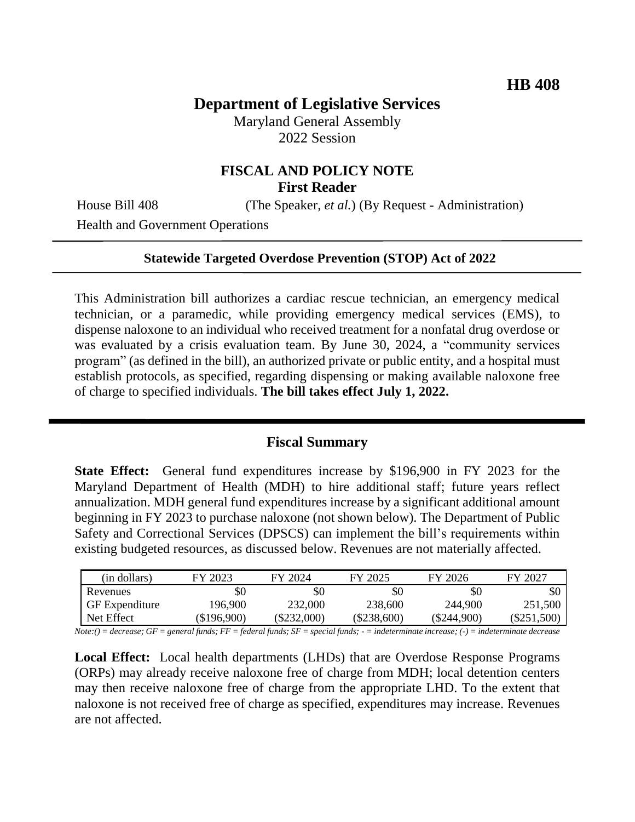# **Department of Legislative Services**

Maryland General Assembly 2022 Session

# **FISCAL AND POLICY NOTE First Reader**

House Bill 408 (The Speaker, *et al.*) (By Request - Administration)

Health and Government Operations

#### **Statewide Targeted Overdose Prevention (STOP) Act of 2022**

This Administration bill authorizes a cardiac rescue technician, an emergency medical technician, or a paramedic, while providing emergency medical services (EMS), to dispense naloxone to an individual who received treatment for a nonfatal drug overdose or was evaluated by a crisis evaluation team. By June 30, 2024, a "community services program" (as defined in the bill), an authorized private or public entity, and a hospital must establish protocols, as specified, regarding dispensing or making available naloxone free of charge to specified individuals. **The bill takes effect July 1, 2022.**

#### **Fiscal Summary**

**State Effect:** General fund expenditures increase by \$196,900 in FY 2023 for the Maryland Department of Health (MDH) to hire additional staff; future years reflect annualization. MDH general fund expenditures increase by a significant additional amount beginning in FY 2023 to purchase naloxone (not shown below). The Department of Public Safety and Correctional Services (DPSCS) can implement the bill's requirements within existing budgeted resources, as discussed below. Revenues are not materially affected.

| (in dollars)                                                                      | FY 2023     | FY 2024       | FY 2025       | FY 2026       | FY 2027       |
|-----------------------------------------------------------------------------------|-------------|---------------|---------------|---------------|---------------|
| Revenues                                                                          | \$0         | \$0           | \$0           | \$0           | \$0           |
| <b>GF</b> Expenditure                                                             | 196.900     | 232,000       | 238,600       | 244,900       | 251,500       |
| Net Effect                                                                        | (\$196,900) | $(\$232,000)$ | $(\$238,600)$ | $(\$244,900)$ | $(\$251,500)$ |
| $\sim$ $\sim$<br>$\mathbf{M}$ $\mathbf{M}$ $\mathbf{M}$ $\mathbf{M}$ $\mathbf{M}$ |             |               |               |               |               |

*Note:() = decrease; GF = general funds; FF = federal funds; SF = special funds; - = indeterminate increase; (-) = indeterminate decrease*

**Local Effect:** Local health departments (LHDs) that are Overdose Response Programs (ORPs) may already receive naloxone free of charge from MDH; local detention centers may then receive naloxone free of charge from the appropriate LHD. To the extent that naloxone is not received free of charge as specified, expenditures may increase. Revenues are not affected.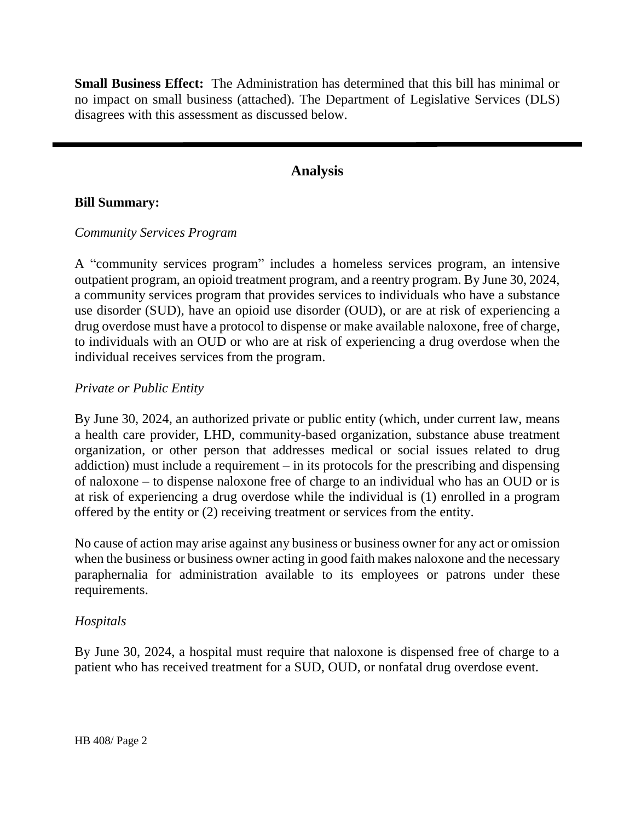**Small Business Effect:** The Administration has determined that this bill has minimal or no impact on small business (attached). The Department of Legislative Services (DLS) disagrees with this assessment as discussed below.

# **Analysis**

#### **Bill Summary:**

#### *Community Services Program*

A "community services program" includes a homeless services program, an intensive outpatient program, an opioid treatment program, and a reentry program. By June 30, 2024, a community services program that provides services to individuals who have a substance use disorder (SUD), have an opioid use disorder (OUD), or are at risk of experiencing a drug overdose must have a protocol to dispense or make available naloxone, free of charge, to individuals with an OUD or who are at risk of experiencing a drug overdose when the individual receives services from the program.

#### *Private or Public Entity*

By June 30, 2024, an authorized private or public entity (which, under current law, means a health care provider, LHD, community-based organization, substance abuse treatment organization, or other person that addresses medical or social issues related to drug addiction) must include a requirement – in its protocols for the prescribing and dispensing of naloxone – to dispense naloxone free of charge to an individual who has an OUD or is at risk of experiencing a drug overdose while the individual is (1) enrolled in a program offered by the entity or (2) receiving treatment or services from the entity.

No cause of action may arise against any business or business owner for any act or omission when the business or business owner acting in good faith makes naloxone and the necessary paraphernalia for administration available to its employees or patrons under these requirements.

## *Hospitals*

By June 30, 2024, a hospital must require that naloxone is dispensed free of charge to a patient who has received treatment for a SUD, OUD, or nonfatal drug overdose event.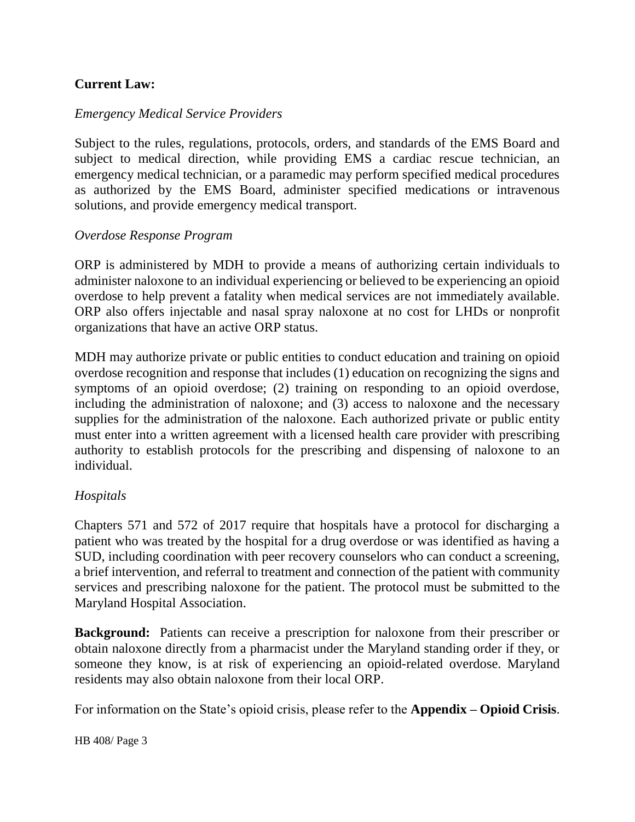# **Current Law:**

# *Emergency Medical Service Providers*

Subject to the rules, regulations, protocols, orders, and standards of the EMS Board and subject to medical direction, while providing EMS a cardiac rescue technician, an emergency medical technician, or a paramedic may perform specified medical procedures as authorized by the EMS Board, administer specified medications or intravenous solutions, and provide emergency medical transport.

## *Overdose Response Program*

ORP is administered by MDH to provide a means of authorizing certain individuals to administer naloxone to an individual experiencing or believed to be experiencing an opioid overdose to help prevent a fatality when medical services are not immediately available. ORP also offers injectable and nasal spray naloxone at no cost for LHDs or nonprofit organizations that have an active ORP status.

MDH may authorize private or public entities to conduct education and training on opioid overdose recognition and response that includes (1) education on recognizing the signs and symptoms of an opioid overdose; (2) training on responding to an opioid overdose, including the administration of naloxone; and (3) access to naloxone and the necessary supplies for the administration of the naloxone. Each authorized private or public entity must enter into a written agreement with a licensed health care provider with prescribing authority to establish protocols for the prescribing and dispensing of naloxone to an individual.

## *Hospitals*

Chapters 571 and 572 of 2017 require that hospitals have a protocol for discharging a patient who was treated by the hospital for a drug overdose or was identified as having a SUD, including coordination with peer recovery counselors who can conduct a screening, a brief intervention, and referral to treatment and connection of the patient with community services and prescribing naloxone for the patient. The protocol must be submitted to the Maryland Hospital Association.

**Background:** Patients can receive a prescription for naloxone from their prescriber or obtain naloxone directly from a pharmacist under the Maryland standing order if they, or someone they know, is at risk of experiencing an opioid-related overdose. Maryland residents may also obtain naloxone from their local ORP.

For information on the State's opioid crisis, please refer to the **Appendix – Opioid Crisis**.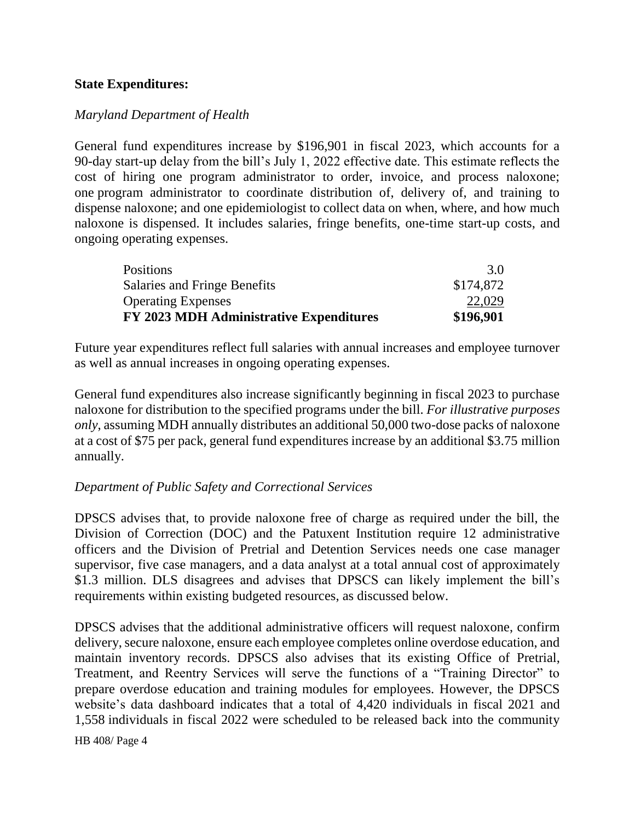#### **State Expenditures:**

#### *Maryland Department of Health*

General fund expenditures increase by \$196,901 in fiscal 2023, which accounts for a 90-day start-up delay from the bill's July 1, 2022 effective date. This estimate reflects the cost of hiring one program administrator to order, invoice, and process naloxone; one program administrator to coordinate distribution of, delivery of, and training to dispense naloxone; and one epidemiologist to collect data on when, where, and how much naloxone is dispensed. It includes salaries, fringe benefits, one-time start-up costs, and ongoing operating expenses.

| Salaries and Fringe Benefits                   | \$174,872 |
|------------------------------------------------|-----------|
| <b>Operating Expenses</b>                      | 22,029    |
| <b>FY 2023 MDH Administrative Expenditures</b> | \$196,901 |

Future year expenditures reflect full salaries with annual increases and employee turnover as well as annual increases in ongoing operating expenses.

General fund expenditures also increase significantly beginning in fiscal 2023 to purchase naloxone for distribution to the specified programs under the bill. *For illustrative purposes only*, assuming MDH annually distributes an additional 50,000 two-dose packs of naloxone at a cost of \$75 per pack, general fund expenditures increase by an additional \$3.75 million annually.

#### *Department of Public Safety and Correctional Services*

DPSCS advises that, to provide naloxone free of charge as required under the bill, the Division of Correction (DOC) and the Patuxent Institution require 12 administrative officers and the Division of Pretrial and Detention Services needs one case manager supervisor, five case managers, and a data analyst at a total annual cost of approximately \$1.3 million. DLS disagrees and advises that DPSCS can likely implement the bill's requirements within existing budgeted resources, as discussed below.

DPSCS advises that the additional administrative officers will request naloxone, confirm delivery, secure naloxone, ensure each employee completes online overdose education, and maintain inventory records. DPSCS also advises that its existing Office of Pretrial, Treatment, and Reentry Services will serve the functions of a "Training Director" to prepare overdose education and training modules for employees. However, the DPSCS website's data dashboard indicates that a total of 4,420 individuals in fiscal 2021 and 1,558 individuals in fiscal 2022 were scheduled to be released back into the community

HB 408/ Page 4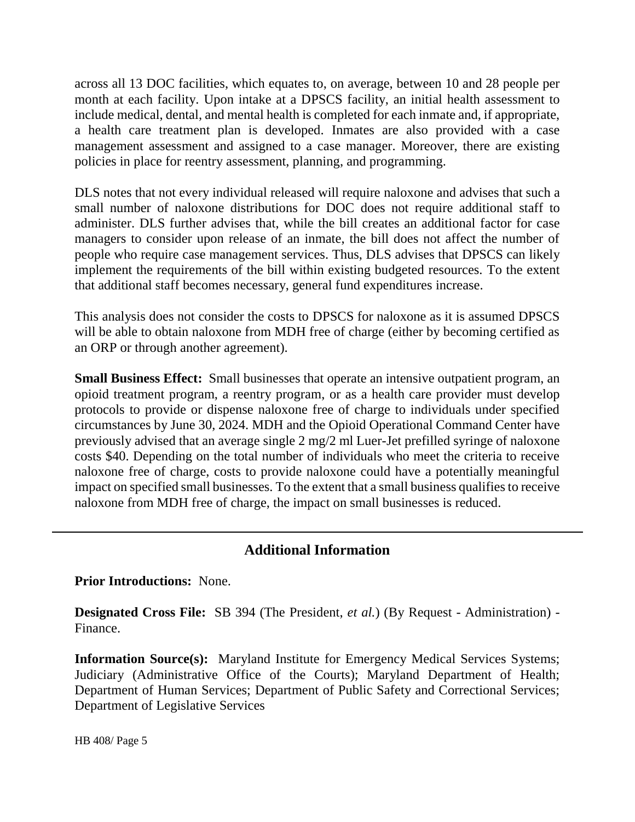across all 13 DOC facilities, which equates to, on average, between 10 and 28 people per month at each facility. Upon intake at a DPSCS facility, an initial health assessment to include medical, dental, and mental health is completed for each inmate and, if appropriate, a health care treatment plan is developed. Inmates are also provided with a case management assessment and assigned to a case manager. Moreover, there are existing policies in place for reentry assessment, planning, and programming.

DLS notes that not every individual released will require naloxone and advises that such a small number of naloxone distributions for DOC does not require additional staff to administer. DLS further advises that, while the bill creates an additional factor for case managers to consider upon release of an inmate, the bill does not affect the number of people who require case management services. Thus, DLS advises that DPSCS can likely implement the requirements of the bill within existing budgeted resources. To the extent that additional staff becomes necessary, general fund expenditures increase.

This analysis does not consider the costs to DPSCS for naloxone as it is assumed DPSCS will be able to obtain naloxone from MDH free of charge (either by becoming certified as an ORP or through another agreement).

**Small Business Effect:** Small businesses that operate an intensive outpatient program, an opioid treatment program, a reentry program, or as a health care provider must develop protocols to provide or dispense naloxone free of charge to individuals under specified circumstances by June 30, 2024. MDH and the Opioid Operational Command Center have previously advised that an average single 2 mg/2 ml Luer-Jet prefilled syringe of naloxone costs \$40. Depending on the total number of individuals who meet the criteria to receive naloxone free of charge, costs to provide naloxone could have a potentially meaningful impact on specified small businesses. To the extent that a small business qualifies to receive naloxone from MDH free of charge, the impact on small businesses is reduced.

## **Additional Information**

**Prior Introductions:** None.

**Designated Cross File:** SB 394 (The President, *et al.*) (By Request - Administration) - Finance.

**Information Source(s):** Maryland Institute for Emergency Medical Services Systems; Judiciary (Administrative Office of the Courts); Maryland Department of Health; Department of Human Services; Department of Public Safety and Correctional Services; Department of Legislative Services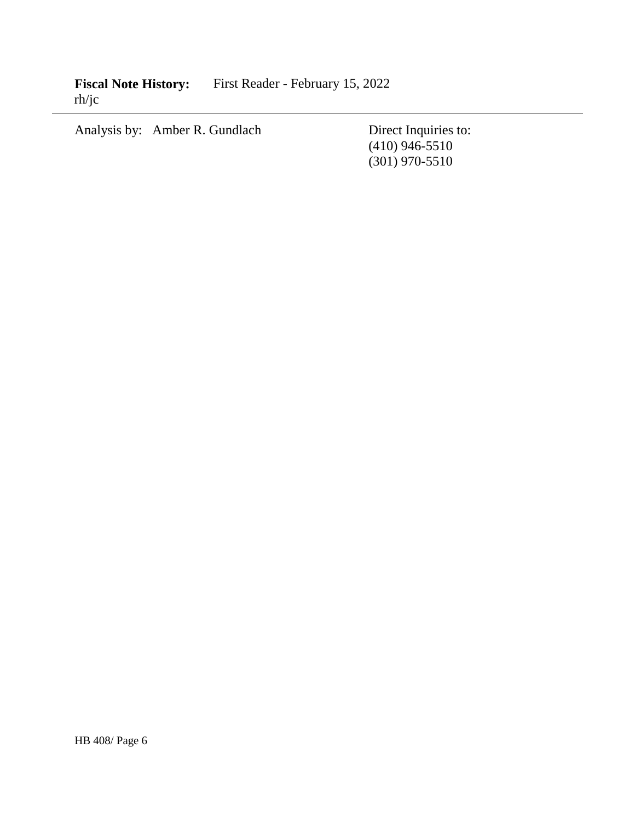Fiscal Note History: First Reader - February 15, 2022 rh/jc

Analysis by: Amber R. Gundlach Direct Inquiries to:

(410) 946-5510 (301) 970-5510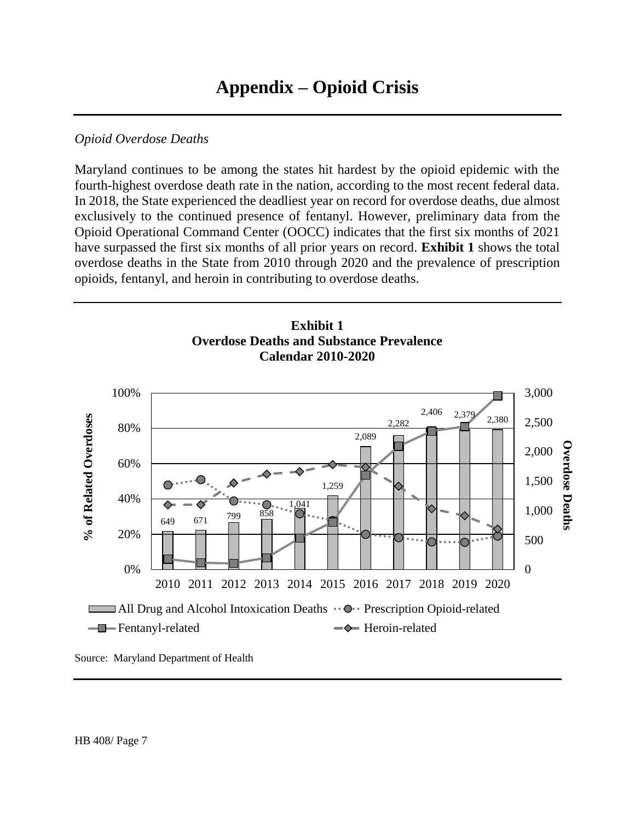# **Appendix – Opioid Crisis**

#### *Opioid Overdose Deaths*

Maryland continues to be among the states hit hardest by the opioid epidemic with the fourth-highest overdose death rate in the nation, according to the most recent federal data. In 2018, the State experienced the deadliest year on record for overdose deaths, due almost exclusively to the continued presence of fentanyl. However, preliminary data from the Opioid Operational Command Center (OOCC) indicates that the first six months of 2021 have surpassed the first six months of all prior years on record. **Exhibit 1** shows the total overdose deaths in the State from 2010 through 2020 and the prevalence of prescription opioids, fentanyl, and heroin in contributing to overdose deaths.



Source: Maryland Department of Health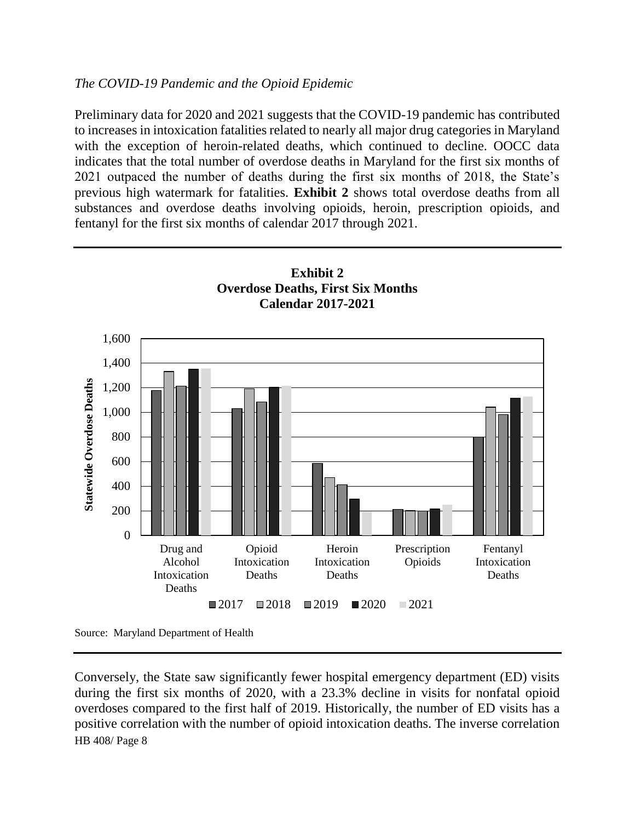# *The COVID-19 Pandemic and the Opioid Epidemic*

Preliminary data for 2020 and 2021 suggests that the COVID-19 pandemic has contributed to increases in intoxication fatalities related to nearly all major drug categories in Maryland with the exception of heroin-related deaths, which continued to decline. OOCC data indicates that the total number of overdose deaths in Maryland for the first six months of 2021 outpaced the number of deaths during the first six months of 2018, the State's previous high watermark for fatalities. **Exhibit 2** shows total overdose deaths from all substances and overdose deaths involving opioids, heroin, prescription opioids, and fentanyl for the first six months of calendar 2017 through 2021.



HB 408/ Page 8 Conversely, the State saw significantly fewer hospital emergency department (ED) visits during the first six months of 2020, with a 23.3% decline in visits for nonfatal opioid overdoses compared to the first half of 2019. Historically, the number of ED visits has a positive correlation with the number of opioid intoxication deaths. The inverse correlation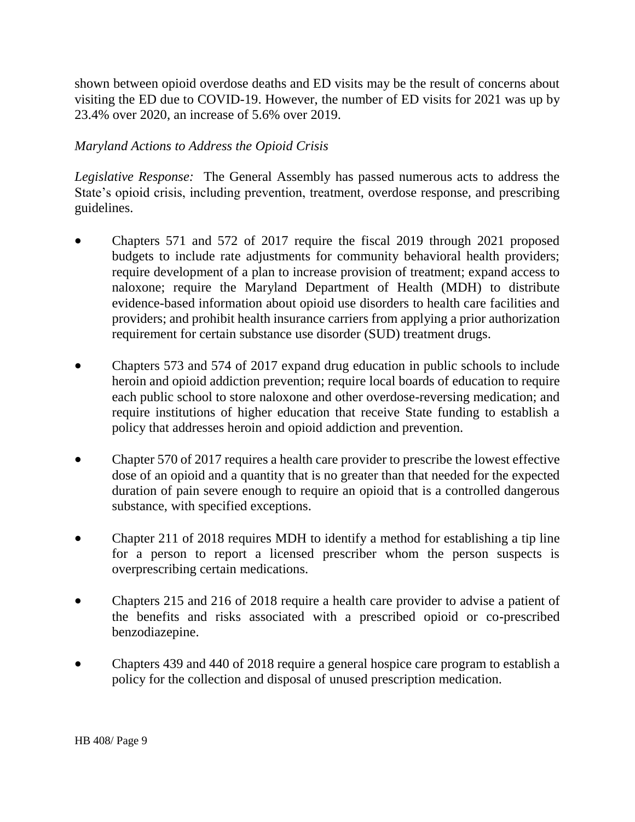shown between opioid overdose deaths and ED visits may be the result of concerns about visiting the ED due to COVID-19. However, the number of ED visits for 2021 was up by 23.4% over 2020, an increase of 5.6% over 2019.

# *Maryland Actions to Address the Opioid Crisis*

*Legislative Response:* The General Assembly has passed numerous acts to address the State's opioid crisis, including prevention, treatment, overdose response, and prescribing guidelines.

- Chapters 571 and 572 of 2017 require the fiscal 2019 through 2021 proposed budgets to include rate adjustments for community behavioral health providers; require development of a plan to increase provision of treatment; expand access to naloxone; require the Maryland Department of Health (MDH) to distribute evidence-based information about opioid use disorders to health care facilities and providers; and prohibit health insurance carriers from applying a prior authorization requirement for certain substance use disorder (SUD) treatment drugs.
- Chapters 573 and 574 of 2017 expand drug education in public schools to include heroin and opioid addiction prevention; require local boards of education to require each public school to store naloxone and other overdose-reversing medication; and require institutions of higher education that receive State funding to establish a policy that addresses heroin and opioid addiction and prevention.
- Chapter 570 of 2017 requires a health care provider to prescribe the lowest effective dose of an opioid and a quantity that is no greater than that needed for the expected duration of pain severe enough to require an opioid that is a controlled dangerous substance, with specified exceptions.
- Chapter 211 of 2018 requires MDH to identify a method for establishing a tip line for a person to report a licensed prescriber whom the person suspects is overprescribing certain medications.
- Chapters 215 and 216 of 2018 require a health care provider to advise a patient of the benefits and risks associated with a prescribed opioid or co-prescribed benzodiazepine.
- Chapters 439 and 440 of 2018 require a general hospice care program to establish a policy for the collection and disposal of unused prescription medication.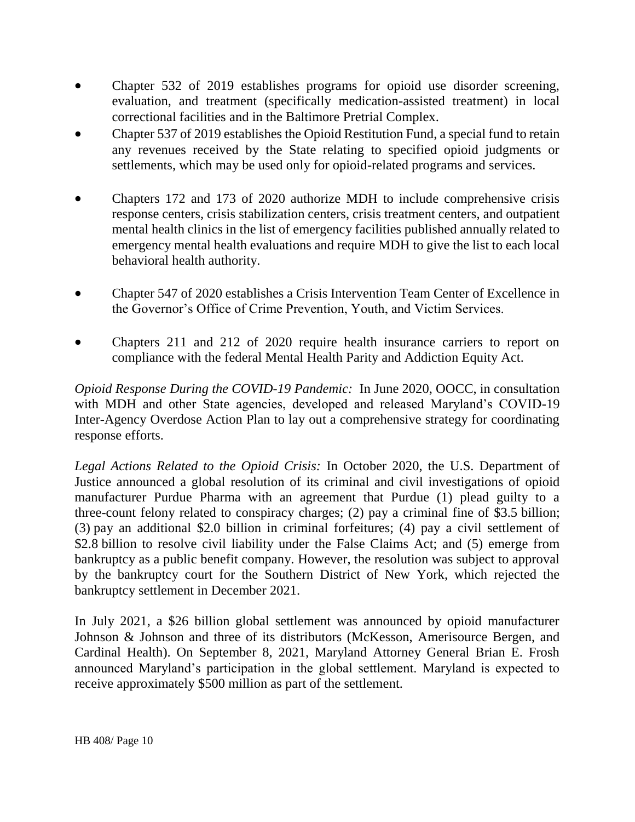- Chapter 532 of 2019 establishes programs for opioid use disorder screening, evaluation, and treatment (specifically medication-assisted treatment) in local correctional facilities and in the Baltimore Pretrial Complex.
- Chapter 537 of 2019 establishes the Opioid Restitution Fund, a special fund to retain any revenues received by the State relating to specified opioid judgments or settlements, which may be used only for opioid-related programs and services.
- Chapters 172 and 173 of 2020 authorize MDH to include comprehensive crisis response centers, crisis stabilization centers, crisis treatment centers, and outpatient mental health clinics in the list of emergency facilities published annually related to emergency mental health evaluations and require MDH to give the list to each local behavioral health authority.
- Chapter 547 of 2020 establishes a Crisis Intervention Team Center of Excellence in the Governor's Office of Crime Prevention, Youth, and Victim Services.
- Chapters 211 and 212 of 2020 require health insurance carriers to report on compliance with the federal Mental Health Parity and Addiction Equity Act.

*Opioid Response During the COVID-19 Pandemic:* In June 2020, OOCC, in consultation with MDH and other State agencies, developed and released Maryland's COVID-19 Inter-Agency Overdose Action Plan to lay out a comprehensive strategy for coordinating response efforts.

*Legal Actions Related to the Opioid Crisis:* In October 2020, the U.S. Department of Justice announced a global resolution of its criminal and civil investigations of opioid manufacturer Purdue Pharma with an agreement that Purdue (1) plead guilty to a three-count felony related to conspiracy charges; (2) pay a criminal fine of \$3.5 billion; (3) pay an additional \$2.0 billion in criminal forfeitures; (4) pay a civil settlement of \$2.8 billion to resolve civil liability under the False Claims Act; and (5) emerge from bankruptcy as a public benefit company. However, the resolution was subject to approval by the bankruptcy court for the Southern District of New York, which rejected the bankruptcy settlement in December 2021.

In July 2021, a \$26 billion global settlement was announced by opioid manufacturer Johnson & Johnson and three of its distributors (McKesson, Amerisource Bergen, and Cardinal Health). On September 8, 2021, Maryland Attorney General Brian E. Frosh announced Maryland's participation in the global settlement. Maryland is expected to receive approximately \$500 million as part of the settlement.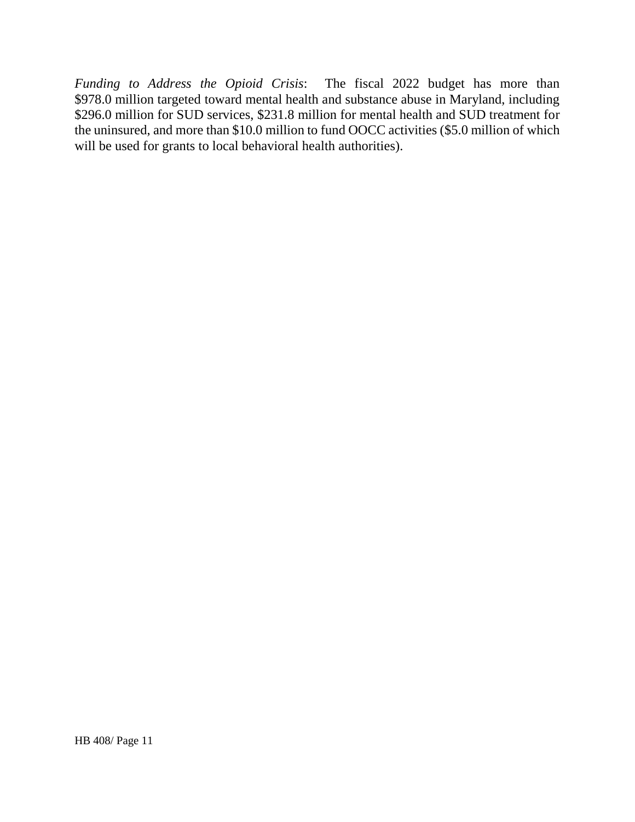*Funding to Address the Opioid Crisis*: The fiscal 2022 budget has more than \$978.0 million targeted toward mental health and substance abuse in Maryland, including \$296.0 million for SUD services, \$231.8 million for mental health and SUD treatment for the uninsured, and more than \$10.0 million to fund OOCC activities (\$5.0 million of which will be used for grants to local behavioral health authorities).